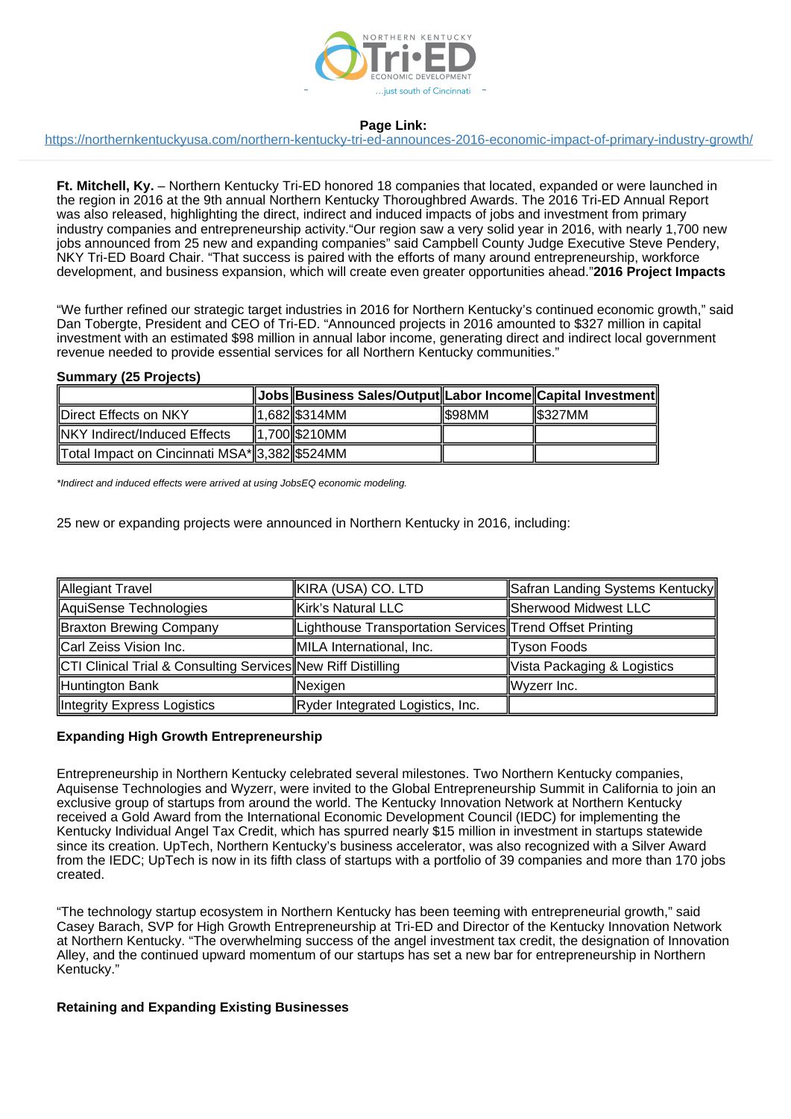

# **Page Link:**

<https://northernkentuckyusa.com/northern-kentucky-tri-ed-announces-2016-economic-impact-of-primary-industry-growth/>

**Ft. Mitchell, Ky.** – Northern Kentucky Tri-ED honored 18 companies that located, expanded or were launched in the region in 2016 at the 9th annual Northern Kentucky Thoroughbred Awards. The 2016 Tri-ED Annual Report was also released, highlighting the direct, indirect and induced impacts of jobs and investment from primary industry companies and entrepreneurship activity."Our region saw a very solid year in 2016, with nearly 1,700 new jobs announced from 25 new and expanding companies" said Campbell County Judge Executive Steve Pendery, NKY Tri-ED Board Chair. "That success is paired with the efforts of many around entrepreneurship, workforce development, and business expansion, which will create even greater opportunities ahead."**2016 Project Impacts**

"We further refined our strategic target industries in 2016 for Northern Kentucky's continued economic growth," said Dan Tobergte, President and CEO of Tri-ED. "Announced projects in 2016 amounted to \$327 million in capital investment with an estimated \$98 million in annual labor income, generating direct and indirect local government revenue needed to provide essential services for all Northern Kentucky communities."

### **Summary (25 Projects)**

|                                                | Jobs  Business Sales/Output  Labor Income  Capital Investment |        |         |
|------------------------------------------------|---------------------------------------------------------------|--------|---------|
| Direct Effects on NKY                          | 1.682 S314MM                                                  | IS98MM | IS327MM |
| NKY Indirect/Induced Effects                   | 1.700 \$210 MM                                                |        |         |
| ∥Total Impact on Cincinnati MSA*∥3,382∥\$524MM |                                                               |        |         |

\*Indirect and induced effects were arrived at using JobsEQ economic modeling.

25 new or expanding projects were announced in Northern Kentucky in 2016, including:

| Allegiant Travel                                             | KIRA (USA) CO. LTD                                       | Safran Landing Systems Kentucky |
|--------------------------------------------------------------|----------------------------------------------------------|---------------------------------|
| AquiSense Technologies                                       | Kirk's Natural LLC                                       | Sherwood Midwest LLC            |
| Braxton Brewing Company                                      | Lighthouse Transportation Services Trend Offset Printing |                                 |
| Carl Zeiss Vision Inc.                                       | MILA International, Inc.                                 | ∥Tyson Foods                    |
| CTI Clinical Trial & Consulting Services New Riff Distilling |                                                          | Vista Packaging & Logistics     |
| Huntington Bank                                              | Nexigen                                                  | $\parallel$ Wyzerr Inc.         |
| Integrity Express Logistics                                  | Ryder Integrated Logistics, Inc.                         |                                 |

# **Expanding High Growth Entrepreneurship**

Entrepreneurship in Northern Kentucky celebrated several milestones. Two Northern Kentucky companies, Aquisense Technologies and Wyzerr, were invited to the Global Entrepreneurship Summit in California to join an exclusive group of startups from around the world. The Kentucky Innovation Network at Northern Kentucky received a Gold Award from the International Economic Development Council (IEDC) for implementing the Kentucky Individual Angel Tax Credit, which has spurred nearly \$15 million in investment in startups statewide since its creation. UpTech, Northern Kentucky's business accelerator, was also recognized with a Silver Award from the IEDC; UpTech is now in its fifth class of startups with a portfolio of 39 companies and more than 170 jobs created.

"The technology startup ecosystem in Northern Kentucky has been teeming with entrepreneurial growth," said Casey Barach, SVP for High Growth Entrepreneurship at Tri-ED and Director of the Kentucky Innovation Network at Northern Kentucky. "The overwhelming success of the angel investment tax credit, the designation of Innovation Alley, and the continued upward momentum of our startups has set a new bar for entrepreneurship in Northern Kentucky."

### **Retaining and Expanding Existing Businesses**